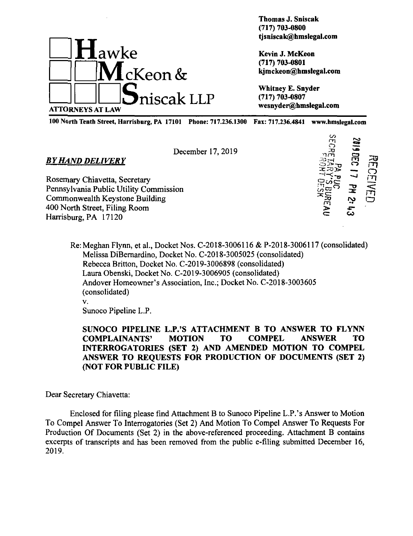

**Thomas J. Sniscak (717) 703-0800 tjsniscak@hmslegal.com**

**Kevin J. McKeon (717) 703-0801 kjmckeon@hmslegal.com**

**Whitney E. Snyder (717) 703-0807 wesnyder@hmslegal.com**

100 North Tenth Street, Harrisburg, PA 17101 Phone: 717.236.1300 Fax: 717.236.4841 www.hmslegal.com

December 17, 2019

Rosemary Chiavetta, Secretary Pennsylvania Public Utility Commission Commonwealth Keystone Building 400 North Street, Filing Room

*BYHAND DELIVERY*

Harrisburg, PA 17120

</> či ë)<br>S ກຕິ  $\tilde{\Xi}$ **cr** *mm*  $\boldsymbol{\Xi}$ rn ក្នុ  $\equiv$ <u>ਤ</u> **no**•• CO  $\overline{3}$ *m* rt<br>S  $\bar{\Xi}$ r<br>Sh rn o

Re: Meghan Flynn, et al.. Docket Nos. C-2018-3006116 & P-2018-3006117 (consolidated) Melissa DiBemardino, Docket No. C-2018-3005025 (consolidated) Rebecca Britton, Docket No. C-2019-3006898 (consolidated) Laura Obenski, Docket No. C-2019-3006905 (consolidated) Andover Homeowner's Association, Inc.; Docket No. C-2018-3003605 (consolidated) v.

Sunoco Pipeline L.P.

**SUNOCO PIPELINE L.P.'S ATTACHMENT B TO ANSWER TO FLYNN COMPLAINANTS' MOTION TO COMPEL ANSWER TO INTERROGATORIES (SET 2) AND AMENDED MOTION TO COMPEL ANSWER TO REQUESTS FOR PRODUCTION OF DOCUMENTS (SET 2) (NOT FOR PUBLIC FILE)**

Dear Secretary Chiavetta:

Enclosed for filing please find Attachment B to Sunoco Pipeline L.P.'s Answer to Motion To Compel Answer To Interrogatories (Set 2) And Motion To Compel Answer To Requests For Production Of Documents (Set 2) in the above-referenced proceeding. Attachment B contains excerpts of transcripts and has been removed from the public e-filing submitted December 16, 2019.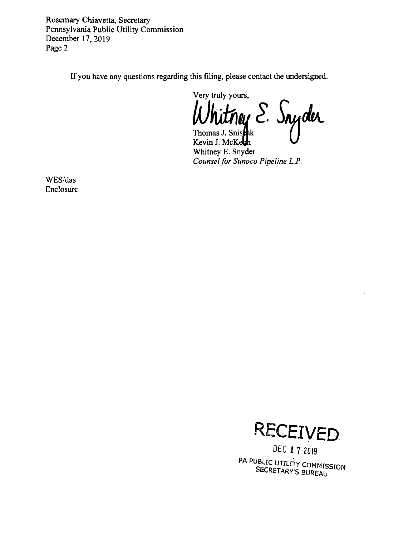Rosemary Chiavetta, Secretary Pennsylvania Public Utility Commission December 17, 2019 Page 2

If you have any questions regarding this filing, please contact the undersigned.

Very truly yours,

Whitney E. Snyder

Kevin J. McKeth Whitney E. Snyder Counsel for Sunoco Pipeline L.P.

WES/das Enclosure



DEC 17 2019 PA PUBLIC UTILITY COMMISSION SECRETARY'S BUREAU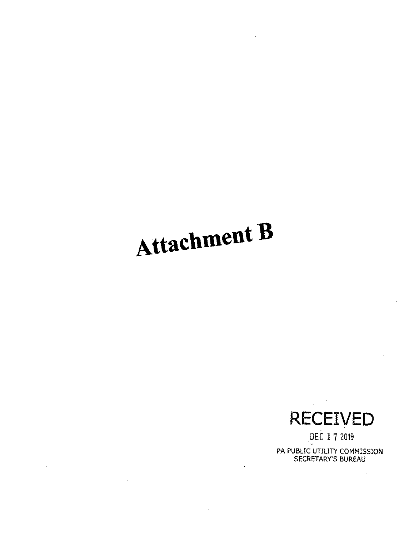## **Attachment B**

 $\sim$ 

 $\sim 10$ 

**RECEIVED**

**DEC 1 7 2019** PA PUBLIC UTILITY COMMISSION SECRETARY'S BUREAU

 $\bar{z}$